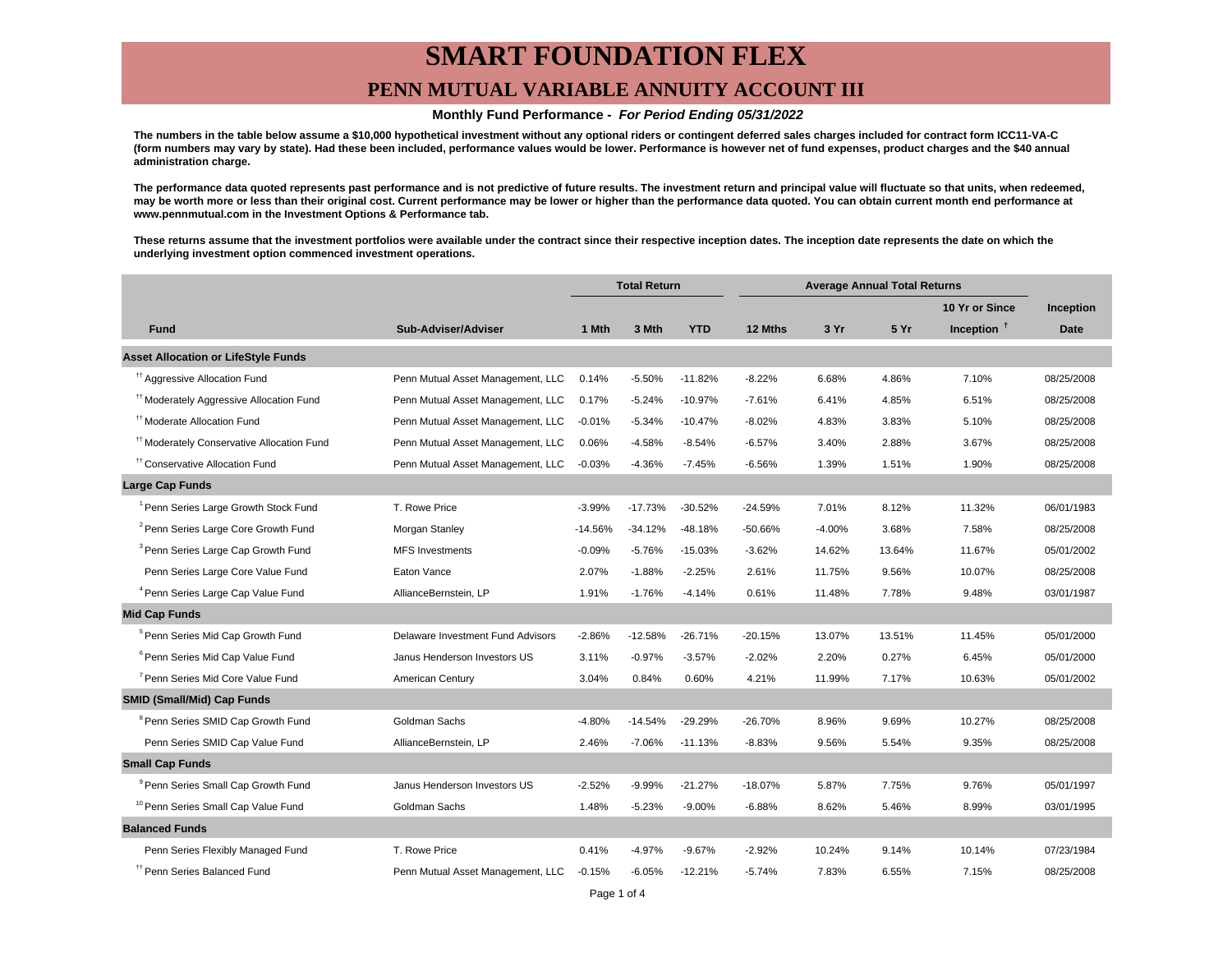## **SMART FOUNDATION FLEX PENN MUTUAL VARIABLE ANNUITY ACCOUNT III**

#### **Monthly Fund Performance - For Period Ending 05/31/2022**

**The numbers in the table below assume a \$10,000 hypothetical investment without any optional riders or contingent deferred sales charges included for contract form ICC11-VA-C (form numbers may vary by state). Had these been included, performance values would be lower. Performance is however net of fund expenses, product charges and the \$40 annual administration charge.**

**The performance data quoted represents past performance and is not predictive of future results. The investment return and principal value will fluctuate so that units, when redeemed, may be worth more or less than their original cost. Current performance may be lower or higher than the performance data quoted. You can obtain current month end performance at www.pennmutual.com in the Investment Options & Performance tab.**

**These returns assume that the investment portfolios were available under the contract since their respective inception dates. The inception date represents the date on which the underlying investment option commenced investment operations.**

|                                                       |                                   | <b>Total Return</b> |           | <b>Average Annual Total Returns</b> |           |          |        |                |             |
|-------------------------------------------------------|-----------------------------------|---------------------|-----------|-------------------------------------|-----------|----------|--------|----------------|-------------|
|                                                       |                                   |                     |           |                                     |           |          |        | 10 Yr or Since | Inception   |
| <b>Fund</b>                                           | Sub-Adviser/Adviser               | 1 Mth               | 3 Mth     | <b>YTD</b>                          | 12 Mths   | 3 Yr     | 5 Yr   | Inception $†$  | <b>Date</b> |
| <b>Asset Allocation or LifeStyle Funds</b>            |                                   |                     |           |                                     |           |          |        |                |             |
| <sup>11</sup> Aggressive Allocation Fund              | Penn Mutual Asset Management, LLC | 0.14%               | $-5.50%$  | $-11.82%$                           | $-8.22%$  | 6.68%    | 4.86%  | 7.10%          | 08/25/2008  |
| <sup>#†</sup> Moderately Aggressive Allocation Fund   | Penn Mutual Asset Management, LLC | 0.17%               | $-5.24%$  | $-10.97%$                           | $-7.61%$  | 6.41%    | 4.85%  | 6.51%          | 08/25/2008  |
| <sup>tt</sup> Moderate Allocation Fund                | Penn Mutual Asset Management, LLC | $-0.01%$            | $-5.34%$  | $-10.47%$                           | $-8.02%$  | 4.83%    | 3.83%  | 5.10%          | 08/25/2008  |
| <sup>#†</sup> Moderately Conservative Allocation Fund | Penn Mutual Asset Management, LLC | 0.06%               | $-4.58%$  | $-8.54%$                            | $-6.57%$  | 3.40%    | 2.88%  | 3.67%          | 08/25/2008  |
| <sup>11</sup> Conservative Allocation Fund            | Penn Mutual Asset Management, LLC | $-0.03%$            | $-4.36%$  | $-7.45%$                            | $-6.56%$  | 1.39%    | 1.51%  | 1.90%          | 08/25/2008  |
| <b>Large Cap Funds</b>                                |                                   |                     |           |                                     |           |          |        |                |             |
| <sup>1</sup> Penn Series Large Growth Stock Fund      | T. Rowe Price                     | $-3.99%$            | $-17.73%$ | $-30.52%$                           | $-24.59%$ | 7.01%    | 8.12%  | 11.32%         | 06/01/1983  |
| <sup>2</sup> Penn Series Large Core Growth Fund       | Morgan Stanley                    | $-14.56%$           | $-34.12%$ | $-48.18%$                           | $-50.66%$ | $-4.00%$ | 3.68%  | 7.58%          | 08/25/2008  |
| <sup>3</sup> Penn Series Large Cap Growth Fund        | <b>MFS Investments</b>            | $-0.09%$            | $-5.76%$  | $-15.03%$                           | $-3.62%$  | 14.62%   | 13.64% | 11.67%         | 05/01/2002  |
| Penn Series Large Core Value Fund                     | Eaton Vance                       | 2.07%               | $-1.88%$  | $-2.25%$                            | 2.61%     | 11.75%   | 9.56%  | 10.07%         | 08/25/2008  |
| <sup>4</sup> Penn Series Large Cap Value Fund         | AllianceBernstein, LP             | 1.91%               | $-1.76%$  | $-4.14%$                            | 0.61%     | 11.48%   | 7.78%  | 9.48%          | 03/01/1987  |
| <b>Mid Cap Funds</b>                                  |                                   |                     |           |                                     |           |          |        |                |             |
| <sup>5</sup> Penn Series Mid Cap Growth Fund          | Delaware Investment Fund Advisors | $-2.86%$            | $-12.58%$ | $-26.71%$                           | $-20.15%$ | 13.07%   | 13.51% | 11.45%         | 05/01/2000  |
| <sup>6</sup> Penn Series Mid Cap Value Fund           | Janus Henderson Investors US      | 3.11%               | $-0.97%$  | $-3.57%$                            | $-2.02%$  | 2.20%    | 0.27%  | 6.45%          | 05/01/2000  |
| <sup>7</sup> Penn Series Mid Core Value Fund          | American Century                  | 3.04%               | 0.84%     | 0.60%                               | 4.21%     | 11.99%   | 7.17%  | 10.63%         | 05/01/2002  |
| <b>SMID (Small/Mid) Cap Funds</b>                     |                                   |                     |           |                                     |           |          |        |                |             |
| <sup>8</sup> Penn Series SMID Cap Growth Fund         | Goldman Sachs                     | $-4.80%$            | $-14.54%$ | $-29.29%$                           | $-26.70%$ | 8.96%    | 9.69%  | 10.27%         | 08/25/2008  |
| Penn Series SMID Cap Value Fund                       | AllianceBernstein, LP             | 2.46%               | $-7.06%$  | $-11.13%$                           | $-8.83%$  | 9.56%    | 5.54%  | 9.35%          | 08/25/2008  |
| <b>Small Cap Funds</b>                                |                                   |                     |           |                                     |           |          |        |                |             |
| <sup>9</sup> Penn Series Small Cap Growth Fund        | Janus Henderson Investors US      | $-2.52%$            | $-9.99%$  | $-21.27%$                           | $-18.07%$ | 5.87%    | 7.75%  | 9.76%          | 05/01/1997  |
| <sup>10</sup> Penn Series Small Cap Value Fund        | Goldman Sachs                     | 1.48%               | $-5.23%$  | $-9.00%$                            | $-6.88%$  | 8.62%    | 5.46%  | 8.99%          | 03/01/1995  |
| <b>Balanced Funds</b>                                 |                                   |                     |           |                                     |           |          |        |                |             |
| Penn Series Flexibly Managed Fund                     | T. Rowe Price                     | 0.41%               | $-4.97%$  | $-9.67%$                            | $-2.92%$  | 10.24%   | 9.14%  | 10.14%         | 07/23/1984  |
| <sup>17</sup> Penn Series Balanced Fund               | Penn Mutual Asset Management, LLC | $-0.15%$            | $-6.05%$  | $-12.21%$                           | $-5.74%$  | 7.83%    | 6.55%  | 7.15%          | 08/25/2008  |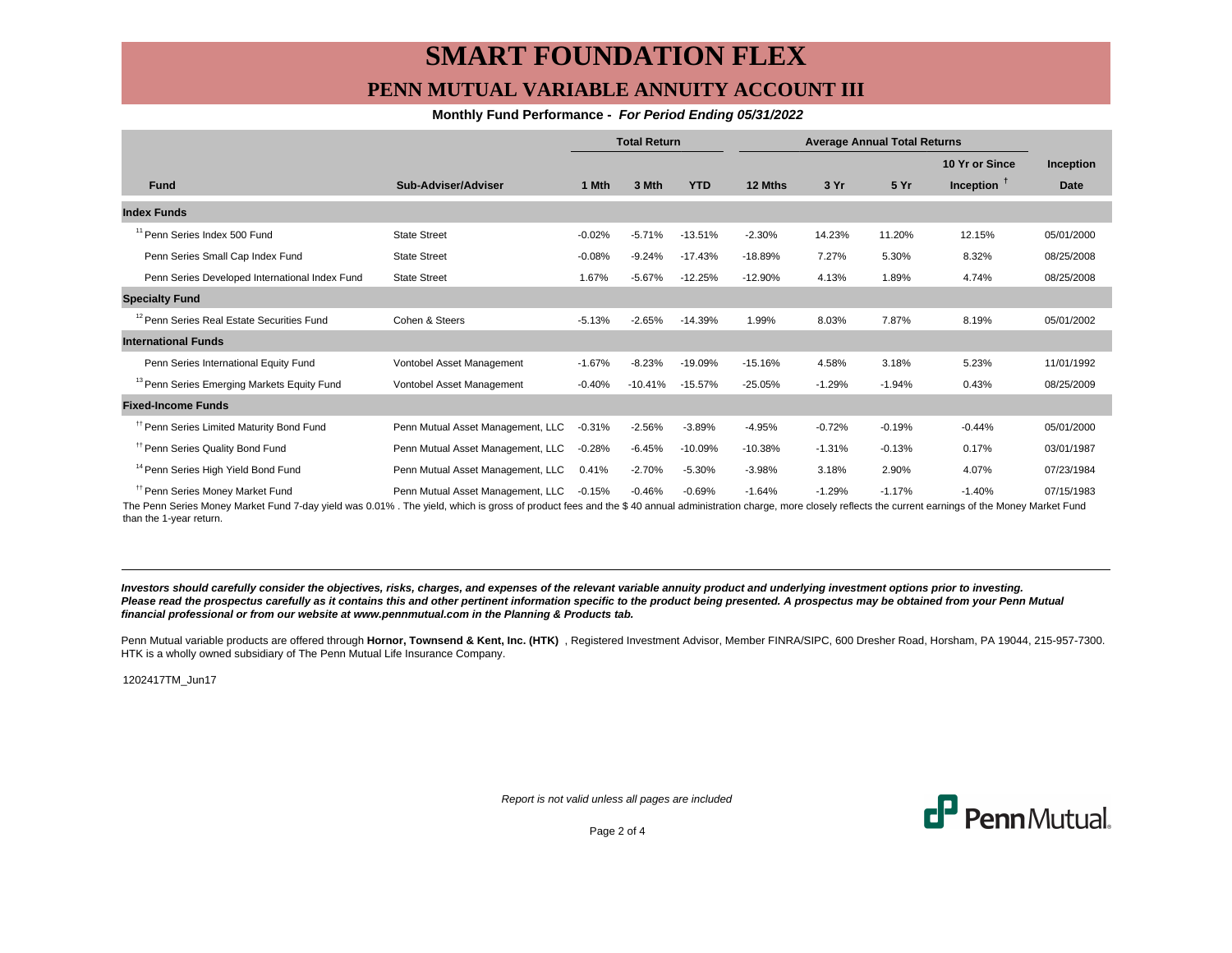## **SMART FOUNDATION FLEX PENN MUTUAL VARIABLE ANNUITY ACCOUNT III**

#### **Monthly Fund Performance - For Period Ending 05/31/2022**

|                                                        |                                   | <b>Total Return</b> |           | <b>Average Annual Total Returns</b> |           |          |          |                |             |
|--------------------------------------------------------|-----------------------------------|---------------------|-----------|-------------------------------------|-----------|----------|----------|----------------|-------------|
|                                                        |                                   |                     |           |                                     |           |          |          | 10 Yr or Since | Inception   |
| <b>Fund</b>                                            | Sub-Adviser/Adviser               | 1 Mth               | 3 Mth     | <b>YTD</b>                          | 12 Mths   | 3 Yr     | 5 Yr     | Inception $†$  | <b>Date</b> |
| <b>Index Funds</b>                                     |                                   |                     |           |                                     |           |          |          |                |             |
| <sup>11</sup> Penn Series Index 500 Fund               | <b>State Street</b>               | $-0.02%$            | $-5.71%$  | $-13.51%$                           | $-2.30%$  | 14.23%   | 11.20%   | 12.15%         | 05/01/2000  |
| Penn Series Small Cap Index Fund                       | <b>State Street</b>               | $-0.08%$            | $-9.24%$  | $-17.43%$                           | $-18.89%$ | 7.27%    | 5.30%    | 8.32%          | 08/25/2008  |
| Penn Series Developed International Index Fund         | <b>State Street</b>               | 1.67%               | $-5.67%$  | $-12.25%$                           | $-12.90%$ | 4.13%    | 1.89%    | 4.74%          | 08/25/2008  |
| <b>Specialty Fund</b>                                  |                                   |                     |           |                                     |           |          |          |                |             |
| <sup>12</sup> Penn Series Real Estate Securities Fund  | Cohen & Steers                    | $-5.13%$            | $-2.65%$  | $-14.39%$                           | 1.99%     | 8.03%    | 7.87%    | 8.19%          | 05/01/2002  |
| <b>International Funds</b>                             |                                   |                     |           |                                     |           |          |          |                |             |
| Penn Series International Equity Fund                  | Vontobel Asset Management         | $-1.67%$            | $-8.23%$  | $-19.09%$                           | $-15.16%$ | 4.58%    | 3.18%    | 5.23%          | 11/01/1992  |
| <sup>13</sup> Penn Series Emerging Markets Equity Fund | Vontobel Asset Management         | $-0.40%$            | $-10.41%$ | $-15.57%$                           | $-25.05%$ | $-1.29%$ | $-1.94%$ | 0.43%          | 08/25/2009  |
| <b>Fixed-Income Funds</b>                              |                                   |                     |           |                                     |           |          |          |                |             |
| <sup>11</sup> Penn Series Limited Maturity Bond Fund   | Penn Mutual Asset Management, LLC | $-0.31%$            | $-2.56%$  | $-3.89%$                            | $-4.95%$  | $-0.72%$ | $-0.19%$ | $-0.44%$       | 05/01/2000  |
| <sup>11</sup> Penn Series Quality Bond Fund            | Penn Mutual Asset Management, LLC | $-0.28%$            | $-6.45%$  | $-10.09%$                           | $-10.38%$ | $-1.31%$ | $-0.13%$ | 0.17%          | 03/01/1987  |
| <sup>14</sup> Penn Series High Yield Bond Fund         | Penn Mutual Asset Management, LLC | 0.41%               | $-2.70%$  | $-5.30%$                            | $-3.98%$  | 3.18%    | 2.90%    | 4.07%          | 07/23/1984  |
| <sup>#</sup> Penn Series Money Market Fund             | Penn Mutual Asset Management, LLC | $-0.15%$            | $-0.46%$  | $-0.69%$                            | $-1.64%$  | $-1.29%$ | $-1.17%$ | $-1.40%$       | 07/15/1983  |

The Penn Series Money Market Fund 7-day yield was 0.01% . The yield, which is gross of product fees and the \$ 40 annual administration charge, more closely reflects the current earnings of the Money Market Fund than the 1-year return.

**Investors should carefully consider the objectives, risks, charges, and expenses of the relevant variable annuity product and underlying investment options prior to investing.** Please read the prospectus carefully as it contains this and other pertinent information specific to the product being presented. A prospectus may be obtained from your Penn Mutual **financial professional or from our website at www.pennmutual.com in the Planning & Products tab.**

Penn Mutual variable products are offered through Hornor, Townsend & Kent, Inc. (HTK), Registered Investment Advisor, Member FINRA/SIPC, 600 Dresher Road, Horsham, PA 19044, 215-957-7300. HTK is a wholly owned subsidiary of The Penn Mutual Life Insurance Company.

1202417TM\_Jun17

Report is not valid unless all pages are included



Page 2 of 4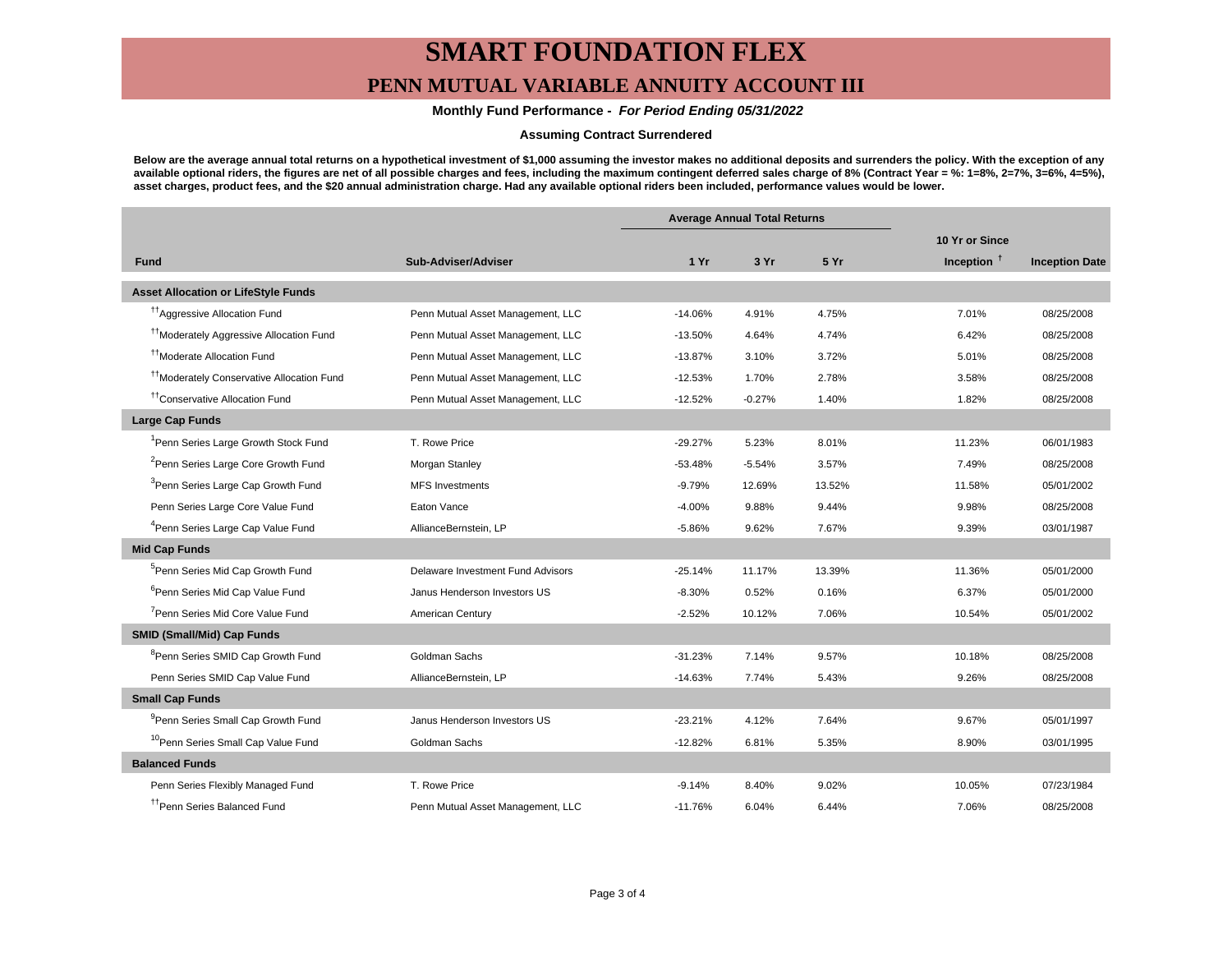# **SMART FOUNDATION FLEX**

### **PENN MUTUAL VARIABLE ANNUITY ACCOUNT III**

#### **Monthly Fund Performance - For Period Ending 05/31/2022**

#### **Assuming Contract Surrendered**

**Below are the average annual total returns on a hypothetical investment of \$1,000 assuming the investor makes no additional deposits and surrenders the policy. With the exception of any available optional riders, the figures are net of all possible charges and fees, including the maximum contingent deferred sales charge of 8% (Contract Year = %: 1=8%, 2=7%, 3=6%, 4=5%), asset charges, product fees, and the \$20 annual administration charge. Had any available optional riders been included, performance values would be lower.**

|                                                       |                                   | <b>Average Annual Total Returns</b> |          |        |                |                       |
|-------------------------------------------------------|-----------------------------------|-------------------------------------|----------|--------|----------------|-----------------------|
|                                                       |                                   |                                     |          |        | 10 Yr or Since |                       |
| <b>Fund</b>                                           | Sub-Adviser/Adviser               | 1 Yr                                | 3 Yr     | 5 Yr   | Inception $†$  | <b>Inception Date</b> |
| <b>Asset Allocation or LifeStyle Funds</b>            |                                   |                                     |          |        |                |                       |
| <sup>17</sup> Aggressive Allocation Fund              | Penn Mutual Asset Management, LLC | $-14.06%$                           | 4.91%    | 4.75%  | 7.01%          | 08/25/2008            |
| <sup>11</sup> Moderately Aggressive Allocation Fund   | Penn Mutual Asset Management, LLC | $-13.50%$                           | 4.64%    | 4.74%  | 6.42%          | 08/25/2008            |
| <sup>††</sup> Moderate Allocation Fund                | Penn Mutual Asset Management, LLC | $-13.87%$                           | 3.10%    | 3.72%  | 5.01%          | 08/25/2008            |
| <sup>††</sup> Moderately Conservative Allocation Fund | Penn Mutual Asset Management, LLC | $-12.53%$                           | 1.70%    | 2.78%  | 3.58%          | 08/25/2008            |
| <sup>tt</sup> Conservative Allocation Fund            | Penn Mutual Asset Management, LLC | $-12.52%$                           | $-0.27%$ | 1.40%  | 1.82%          | 08/25/2008            |
| <b>Large Cap Funds</b>                                |                                   |                                     |          |        |                |                       |
| Penn Series Large Growth Stock Fund                   | T. Rowe Price                     | $-29.27%$                           | 5.23%    | 8.01%  | 11.23%         | 06/01/1983            |
| <sup>2</sup> Penn Series Large Core Growth Fund       | Morgan Stanley                    | $-53.48%$                           | $-5.54%$ | 3.57%  | 7.49%          | 08/25/2008            |
| <sup>3</sup> Penn Series Large Cap Growth Fund        | <b>MFS Investments</b>            | $-9.79%$                            | 12.69%   | 13.52% | 11.58%         | 05/01/2002            |
| Penn Series Large Core Value Fund                     | Eaton Vance                       | $-4.00%$                            | 9.88%    | 9.44%  | 9.98%          | 08/25/2008            |
| <sup>4</sup> Penn Series Large Cap Value Fund         | AllianceBernstein, LP             | $-5.86%$                            | 9.62%    | 7.67%  | 9.39%          | 03/01/1987            |
| <b>Mid Cap Funds</b>                                  |                                   |                                     |          |        |                |                       |
| <sup>5</sup> Penn Series Mid Cap Growth Fund          | Delaware Investment Fund Advisors | $-25.14%$                           | 11.17%   | 13.39% | 11.36%         | 05/01/2000            |
| <sup>6</sup> Penn Series Mid Cap Value Fund           | Janus Henderson Investors US      | $-8.30%$                            | 0.52%    | 0.16%  | 6.37%          | 05/01/2000            |
| <sup>7</sup> Penn Series Mid Core Value Fund          | American Century                  | $-2.52%$                            | 10.12%   | 7.06%  | 10.54%         | 05/01/2002            |
| <b>SMID (Small/Mid) Cap Funds</b>                     |                                   |                                     |          |        |                |                       |
| <sup>8</sup> Penn Series SMID Cap Growth Fund         | Goldman Sachs                     | $-31.23%$                           | 7.14%    | 9.57%  | 10.18%         | 08/25/2008            |
| Penn Series SMID Cap Value Fund                       | AllianceBernstein, LP             | $-14.63%$                           | 7.74%    | 5.43%  | 9.26%          | 08/25/2008            |
| <b>Small Cap Funds</b>                                |                                   |                                     |          |        |                |                       |
| <sup>9</sup> Penn Series Small Cap Growth Fund        | Janus Henderson Investors US      | $-23.21%$                           | 4.12%    | 7.64%  | 9.67%          | 05/01/1997            |
| <sup>10</sup> Penn Series Small Cap Value Fund        | Goldman Sachs                     | $-12.82%$                           | 6.81%    | 5.35%  | 8.90%          | 03/01/1995            |
| <b>Balanced Funds</b>                                 |                                   |                                     |          |        |                |                       |
| Penn Series Flexibly Managed Fund                     | T. Rowe Price                     | $-9.14%$                            | 8.40%    | 9.02%  | 10.05%         | 07/23/1984            |
| <sup>††</sup> Penn Series Balanced Fund               | Penn Mutual Asset Management, LLC | $-11.76%$                           | 6.04%    | 6.44%  | 7.06%          | 08/25/2008            |